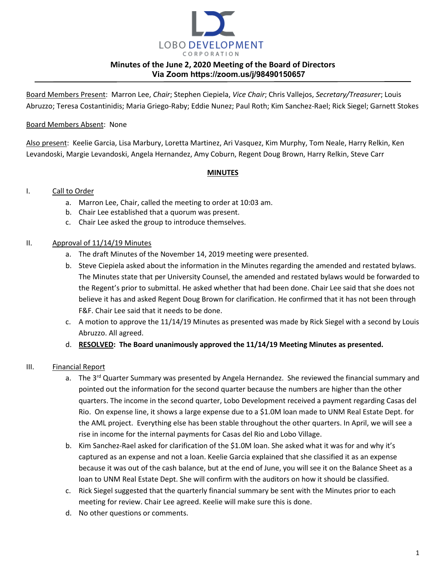

Board Members Present: Marron Lee, *Chair*; Stephen Ciepiela, *Vice Chair*; Chris Vallejos, *Secretary/Treasurer*; Louis Abruzzo; Teresa Costantinidis; Maria Griego-Raby; Eddie Nunez; Paul Roth; Kim Sanchez-Rael; Rick Siegel; Garnett Stokes

#### Board Members Absent: None

Also present: Keelie Garcia, Lisa Marbury, Loretta Martinez, Ari Vasquez, Kim Murphy, Tom Neale, Harry Relkin, Ken Levandoski, Margie Levandoski, Angela Hernandez, Amy Coburn, Regent Doug Brown, Harry Relkin, Steve Carr

#### **MINUTES**

#### I. Call to Order

- a. Marron Lee, Chair, called the meeting to order at 10:03 am.
- b. Chair Lee established that a quorum was present.
- c. Chair Lee asked the group to introduce themselves.

#### II. Approval of 11/14/19 Minutes

- a. The draft Minutes of the November 14, 2019 meeting were presented.
- b. Steve Ciepiela asked about the information in the Minutes regarding the amended and restated bylaws. The Minutes state that per University Counsel, the amended and restated bylaws would be forwarded to the Regent's prior to submittal. He asked whether that had been done. Chair Lee said that she does not believe it has and asked Regent Doug Brown for clarification. He confirmed that it has not been through F&F. Chair Lee said that it needs to be done.
- c. A motion to approve the 11/14/19 Minutes as presented was made by Rick Siegel with a second by Louis Abruzzo. All agreed.
- d. **RESOLVED: The Board unanimously approved the 11/14/19 Meeting Minutes as presented.**

### III. Financial Report

- a. The 3<sup>rd</sup> Quarter Summary was presented by Angela Hernandez. She reviewed the financial summary and pointed out the information for the second quarter because the numbers are higher than the other quarters. The income in the second quarter, Lobo Development received a payment regarding Casas del Rio. On expense line, it shows a large expense due to a \$1.0M loan made to UNM Real Estate Dept. for the AML project. Everything else has been stable throughout the other quarters. In April, we will see a rise in income for the internal payments for Casas del Rio and Lobo Village.
- b. Kim Sanchez-Rael asked for clarification of the \$1.0M loan. She asked what it was for and why it's captured as an expense and not a loan. Keelie Garcia explained that she classified it as an expense because it was out of the cash balance, but at the end of June, you will see it on the Balance Sheet as a loan to UNM Real Estate Dept. She will confirm with the auditors on how it should be classified.
- c. Rick Siegel suggested that the quarterly financial summary be sent with the Minutes prior to each meeting for review. Chair Lee agreed. Keelie will make sure this is done.
- d. No other questions or comments.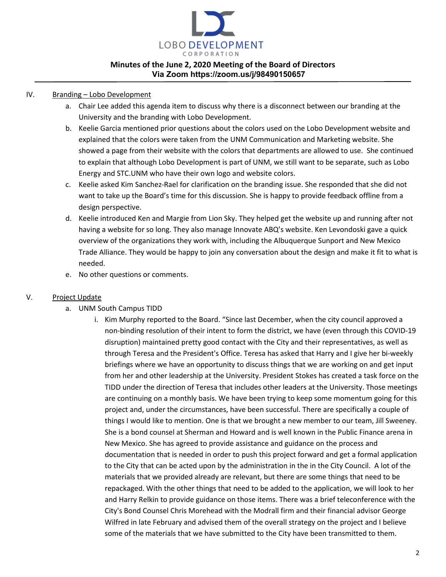

#### IV. Branding – Lobo Development

- a. Chair Lee added this agenda item to discuss why there is a disconnect between our branding at the University and the branding with Lobo Development.
- b. Keelie Garcia mentioned prior questions about the colors used on the Lobo Development website and explained that the colors were taken from the UNM Communication and Marketing website. She showed a page from their website with the colors that departments are allowed to use. She continued to explain that although Lobo Development is part of UNM, we still want to be separate, such as Lobo Energy and STC.UNM who have their own logo and website colors.
- c. Keelie asked Kim Sanchez-Rael for clarification on the branding issue. She responded that she did not want to take up the Board's time for this discussion. She is happy to provide feedback offline from a design perspective.
- d. Keelie introduced Ken and Margie from Lion Sky. They helped get the website up and running after not having a website for so long. They also manage Innovate ABQ's website. Ken Levondoski gave a quick overview of the organizations they work with, including the Albuquerque Sunport and New Mexico Trade Alliance. They would be happy to join any conversation about the design and make it fit to what is needed.
- e. No other questions or comments.

#### V. Project Update

- a. UNM South Campus TIDD
	- i. Kim Murphy reported to the Board. "Since last December, when the city council approved a non-binding resolution of their intent to form the district, we have (even through this COVID-19 disruption) maintained pretty good contact with the City and their representatives, as well as through Teresa and the President's Office. Teresa has asked that Harry and I give her bi-weekly briefings where we have an opportunity to discuss things that we are working on and get input from her and other leadership at the University. President Stokes has created a task force on the TIDD under the direction of Teresa that includes other leaders at the University. Those meetings are continuing on a monthly basis. We have been trying to keep some momentum going for this project and, under the circumstances, have been successful. There are specifically a couple of things I would like to mention. One is that we brought a new member to our team, Jill Sweeney. She is a bond counsel at Sherman and Howard and is well known in the Public Finance arena in New Mexico. She has agreed to provide assistance and guidance on the process and documentation that is needed in order to push this project forward and get a formal application to the City that can be acted upon by the administration in the in the City Council. A lot of the materials that we provided already are relevant, but there are some things that need to be repackaged. With the other things that need to be added to the application, we will look to her and Harry Relkin to provide guidance on those items. There was a brief teleconference with the City's Bond Counsel Chris Morehead with the Modrall firm and their financial advisor George Wilfred in late February and advised them of the overall strategy on the project and I believe some of the materials that we have submitted to the City have been transmitted to them.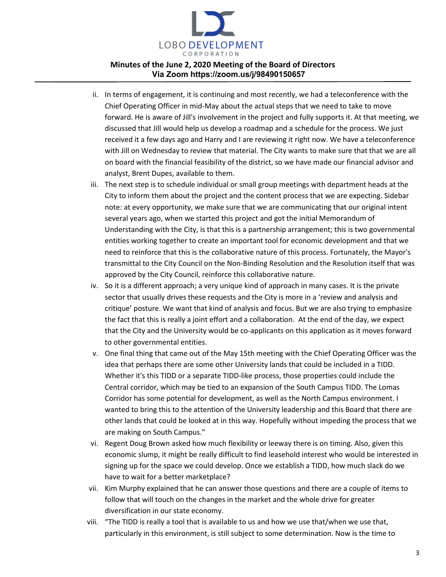

- ii. In terms of engagement, it is continuing and most recently, we had a teleconference with the Chief Operating Officer in mid-May about the actual steps that we need to take to move forward. He is aware of Jill's involvement in the project and fully supports it. At that meeting, we discussed that Jill would help us develop a roadmap and a schedule for the process. We just received it a few days ago and Harry and I are reviewing it right now. We have a teleconference with Jill on Wednesday to review that material. The City wants to make sure that that we are all on board with the financial feasibility of the district, so we have made our financial advisor and analyst, Brent Dupes, available to them.
- iii. The next step is to schedule individual or small group meetings with department heads at the City to inform them about the project and the content process that we are expecting. Sidebar note: at every opportunity, we make sure that we are communicating that our original intent several years ago, when we started this project and got the initial Memorandum of Understanding with the City, is that this is a partnership arrangement; this is two governmental entities working together to create an important tool for economic development and that we need to reinforce that this is the collaborative nature of this process. Fortunately, the Mayor's transmittal to the City Council on the Non-Binding Resolution and the Resolution itself that was approved by the City Council, reinforce this collaborative nature.
- iv. So it is a different approach; a very unique kind of approach in many cases. It is the private sector that usually drives these requests and the City is more in a 'review and analysis and critique' posture. We want that kind of analysis and focus. But we are also trying to emphasize the fact that this is really a joint effort and a collaboration. At the end of the day, we expect that the City and the University would be co-applicants on this application as it moves forward to other governmental entities.
- v. One final thing that came out of the May 15th meeting with the Chief Operating Officer was the idea that perhaps there are some other University lands that could be included in a TIDD. Whether it's this TIDD or a separate TIDD-like process, those properties could include the Central corridor, which may be tied to an expansion of the South Campus TIDD. The Lomas Corridor has some potential for development, as well as the North Campus environment. I wanted to bring this to the attention of the University leadership and this Board that there are other lands that could be looked at in this way. Hopefully without impeding the process that we are making on South Campus."
- vi. Regent Doug Brown asked how much flexibility or leeway there is on timing. Also, given this economic slump, it might be really difficult to find leasehold interest who would be interested in signing up for the space we could develop. Once we establish a TIDD, how much slack do we have to wait for a better marketplace?
- vii. Kim Murphy explained that he can answer those questions and there are a couple of items to follow that will touch on the changes in the market and the whole drive for greater diversification in our state economy.
- viii. "The TIDD is really a tool that is available to us and how we use that/when we use that, particularly in this environment, is still subject to some determination. Now is the time to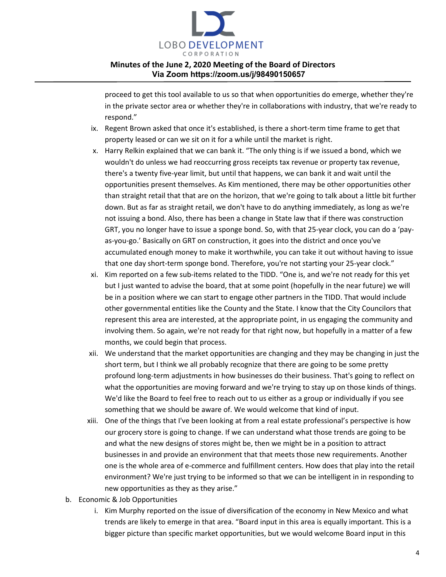

proceed to get this tool available to us so that when opportunities do emerge, whether they're in the private sector area or whether they're in collaborations with industry, that we're ready to respond."

- ix. Regent Brown asked that once it's established, is there a short-term time frame to get that property leased or can we sit on it for a while until the market is right.
- x. Harry Relkin explained that we can bank it. "The only thing is if we issued a bond, which we wouldn't do unless we had reoccurring gross receipts tax revenue or property tax revenue, there's a twenty five-year limit, but until that happens, we can bank it and wait until the opportunities present themselves. As Kim mentioned, there may be other opportunities other than straight retail that that are on the horizon, that we're going to talk about a little bit further down. But as far as straight retail, we don't have to do anything immediately, as long as we're not issuing a bond. Also, there has been a change in State law that if there was construction GRT, you no longer have to issue a sponge bond. So, with that 25-year clock, you can do a 'payas-you-go.' Basically on GRT on construction, it goes into the district and once you've accumulated enough money to make it worthwhile, you can take it out without having to issue that one day short-term sponge bond. Therefore, you're not starting your 25-year clock."
- xi. Kim reported on a few sub-items related to the TIDD. "One is, and we're not ready for this yet but I just wanted to advise the board, that at some point (hopefully in the near future) we will be in a position where we can start to engage other partners in the TIDD. That would include other governmental entities like the County and the State. I know that the City Councilors that represent this area are interested, at the appropriate point, in us engaging the community and involving them. So again, we're not ready for that right now, but hopefully in a matter of a few months, we could begin that process.
- xii. We understand that the market opportunities are changing and they may be changing in just the short term, but I think we all probably recognize that there are going to be some pretty profound long-term adjustments in how businesses do their business. That's going to reflect on what the opportunities are moving forward and we're trying to stay up on those kinds of things. We'd like the Board to feel free to reach out to us either as a group or individually if you see something that we should be aware of. We would welcome that kind of input.
- xiii. One of the things that I've been looking at from a real estate professional's perspective is how our grocery store is going to change. If we can understand what those trends are going to be and what the new designs of stores might be, then we might be in a position to attract businesses in and provide an environment that that meets those new requirements. Another one is the whole area of e-commerce and fulfillment centers. How does that play into the retail environment? We're just trying to be informed so that we can be intelligent in in responding to new opportunities as they as they arise."
- b. Economic & Job Opportunities
	- i. Kim Murphy reported on the issue of diversification of the economy in New Mexico and what trends are likely to emerge in that area. "Board input in this area is equally important. This is a bigger picture than specific market opportunities, but we would welcome Board input in this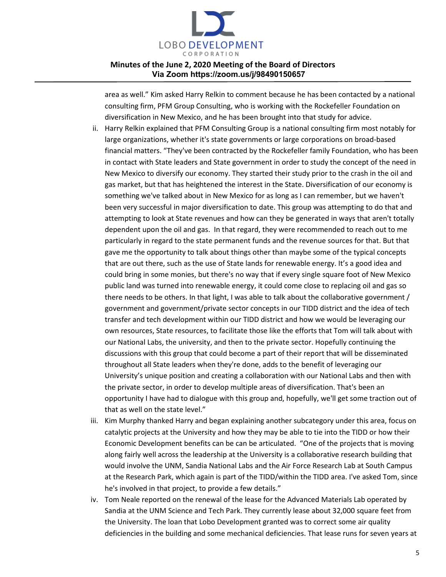

area as well." Kim asked Harry Relkin to comment because he has been contacted by a national consulting firm, PFM Group Consulting, who is working with the Rockefeller Foundation on diversification in New Mexico, and he has been brought into that study for advice.

- ii. Harry Relkin explained that PFM Consulting Group is a national consulting firm most notably for large organizations, whether it's state governments or large corporations on broad-based financial matters. "They've been contracted by the Rockefeller family Foundation, who has been in contact with State leaders and State government in order to study the concept of the need in New Mexico to diversify our economy. They started their study prior to the crash in the oil and gas market, but that has heightened the interest in the State. Diversification of our economy is something we've talked about in New Mexico for as long as I can remember, but we haven't been very successful in major diversification to date. This group was attempting to do that and attempting to look at State revenues and how can they be generated in ways that aren't totally dependent upon the oil and gas. In that regard, they were recommended to reach out to me particularly in regard to the state permanent funds and the revenue sources for that. But that gave me the opportunity to talk about things other than maybe some of the typical concepts that are out there, such as the use of State lands for renewable energy. It's a good idea and could bring in some monies, but there's no way that if every single square foot of New Mexico public land was turned into renewable energy, it could come close to replacing oil and gas so there needs to be others. In that light, I was able to talk about the collaborative government / government and government/private sector concepts in our TIDD district and the idea of tech transfer and tech development within our TIDD district and how we would be leveraging our own resources, State resources, to facilitate those like the efforts that Tom will talk about with our National Labs, the university, and then to the private sector. Hopefully continuing the discussions with this group that could become a part of their report that will be disseminated throughout all State leaders when they're done, adds to the benefit of leveraging our University's unique position and creating a collaboration with our National Labs and then with the private sector, in order to develop multiple areas of diversification. That's been an opportunity I have had to dialogue with this group and, hopefully, we'll get some traction out of that as well on the state level."
- iii. Kim Murphy thanked Harry and began explaining another subcategory under this area, focus on catalytic projects at the University and how they may be able to tie into the TIDD or how their Economic Development benefits can be can be articulated. "One of the projects that is moving along fairly well across the leadership at the University is a collaborative research building that would involve the UNM, Sandia National Labs and the Air Force Research Lab at South Campus at the Research Park, which again is part of the TIDD/within the TIDD area. I've asked Tom, since he's involved in that project, to provide a few details."
- iv. Tom Neale reported on the renewal of the lease for the Advanced Materials Lab operated by Sandia at the UNM Science and Tech Park. They currently lease about 32,000 square feet from the University. The loan that Lobo Development granted was to correct some air quality deficiencies in the building and some mechanical deficiencies. That lease runs for seven years at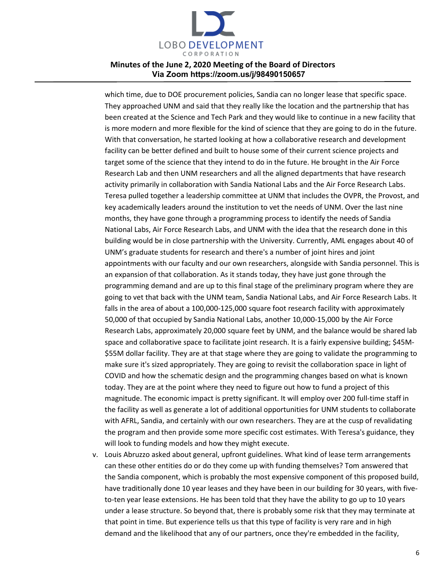

which time, due to DOE procurement policies, Sandia can no longer lease that specific space. They approached UNM and said that they really like the location and the partnership that has been created at the Science and Tech Park and they would like to continue in a new facility that is more modern and more flexible for the kind of science that they are going to do in the future. With that conversation, he started looking at how a collaborative research and development facility can be better defined and built to house some of their current science projects and target some of the science that they intend to do in the future. He brought in the Air Force Research Lab and then UNM researchers and all the aligned departments that have research activity primarily in collaboration with Sandia National Labs and the Air Force Research Labs. Teresa pulled together a leadership committee at UNM that includes the OVPR, the Provost, and key academically leaders around the institution to vet the needs of UNM. Over the last nine months, they have gone through a programming process to identify the needs of Sandia National Labs, Air Force Research Labs, and UNM with the idea that the research done in this building would be in close partnership with the University. Currently, AML engages about 40 of UNM's graduate students for research and there's a number of joint hires and joint appointments with our faculty and our own researchers, alongside with Sandia personnel. This is an expansion of that collaboration. As it stands today, they have just gone through the programming demand and are up to this final stage of the preliminary program where they are going to vet that back with the UNM team, Sandia National Labs, and Air Force Research Labs. It falls in the area of about a 100,000-125,000 square foot research facility with approximately 50,000 of that occupied by Sandia National Labs, another 10,000-15,000 by the Air Force Research Labs, approximately 20,000 square feet by UNM, and the balance would be shared lab space and collaborative space to facilitate joint research. It is a fairly expensive building; \$45M- \$55M dollar facility. They are at that stage where they are going to validate the programming to make sure it's sized appropriately. They are going to revisit the collaboration space in light of COVID and how the schematic design and the programming changes based on what is known today. They are at the point where they need to figure out how to fund a project of this magnitude. The economic impact is pretty significant. It will employ over 200 full-time staff in the facility as well as generate a lot of additional opportunities for UNM students to collaborate with AFRL, Sandia, and certainly with our own researchers. They are at the cusp of revalidating the program and then provide some more specific cost estimates. With Teresa's guidance, they will look to funding models and how they might execute.

v. Louis Abruzzo asked about general, upfront guidelines. What kind of lease term arrangements can these other entities do or do they come up with funding themselves? Tom answered that the Sandia component, which is probably the most expensive component of this proposed build, have traditionally done 10 year leases and they have been in our building for 30 years, with fiveto-ten year lease extensions. He has been told that they have the ability to go up to 10 years under a lease structure. So beyond that, there is probably some risk that they may terminate at that point in time. But experience tells us that this type of facility is very rare and in high demand and the likelihood that any of our partners, once they're embedded in the facility,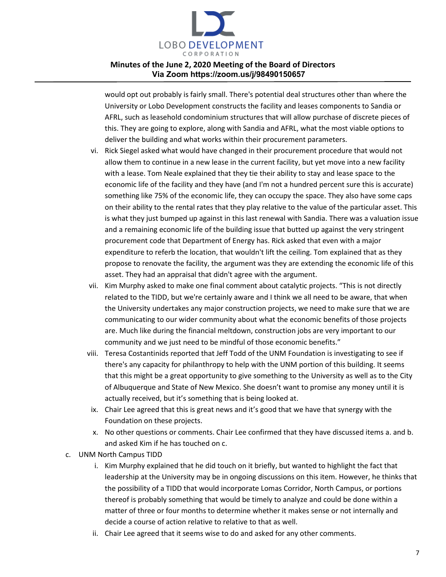

would opt out probably is fairly small. There's potential deal structures other than where the University or Lobo Development constructs the facility and leases components to Sandia or AFRL, such as leasehold condominium structures that will allow purchase of discrete pieces of this. They are going to explore, along with Sandia and AFRL, what the most viable options to deliver the building and what works within their procurement parameters.

- vi. Rick Siegel asked what would have changed in their procurement procedure that would not allow them to continue in a new lease in the current facility, but yet move into a new facility with a lease. Tom Neale explained that they tie their ability to stay and lease space to the economic life of the facility and they have (and I'm not a hundred percent sure this is accurate) something like 75% of the economic life, they can occupy the space. They also have some caps on their ability to the rental rates that they play relative to the value of the particular asset. This is what they just bumped up against in this last renewal with Sandia. There was a valuation issue and a remaining economic life of the building issue that butted up against the very stringent procurement code that Department of Energy has. Rick asked that even with a major expenditure to referb the location, that wouldn't lift the ceiling. Tom explained that as they propose to renovate the facility, the argument was they are extending the economic life of this asset. They had an appraisal that didn't agree with the argument.
- vii. Kim Murphy asked to make one final comment about catalytic projects. "This is not directly related to the TIDD, but we're certainly aware and I think we all need to be aware, that when the University undertakes any major construction projects, we need to make sure that we are communicating to our wider community about what the economic benefits of those projects are. Much like during the financial meltdown, construction jobs are very important to our community and we just need to be mindful of those economic benefits."
- viii. Teresa Costantinids reported that Jeff Todd of the UNM Foundation is investigating to see if there's any capacity for philanthropy to help with the UNM portion of this building. It seems that this might be a great opportunity to give something to the University as well as to the City of Albuquerque and State of New Mexico. She doesn't want to promise any money until it is actually received, but it's something that is being looked at.
- ix. Chair Lee agreed that this is great news and it's good that we have that synergy with the Foundation on these projects.
- x. No other questions or comments. Chair Lee confirmed that they have discussed items a. and b. and asked Kim if he has touched on c.
- c. UNM North Campus TIDD
	- i. Kim Murphy explained that he did touch on it briefly, but wanted to highlight the fact that leadership at the University may be in ongoing discussions on this item. However, he thinks that the possibility of a TIDD that would incorporate Lomas Corridor, North Campus, or portions thereof is probably something that would be timely to analyze and could be done within a matter of three or four months to determine whether it makes sense or not internally and decide a course of action relative to relative to that as well.
	- ii. Chair Lee agreed that it seems wise to do and asked for any other comments.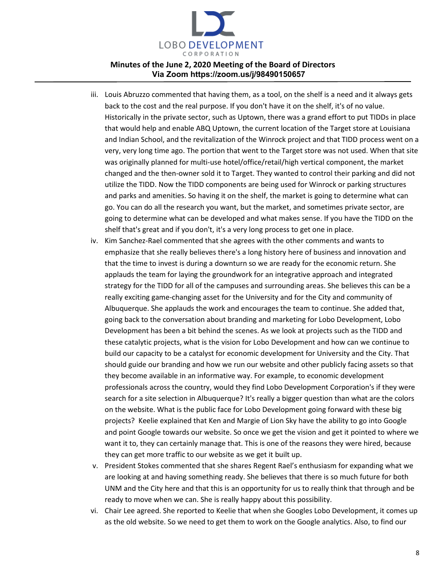

- iii. Louis Abruzzo commented that having them, as a tool, on the shelf is a need and it always gets back to the cost and the real purpose. If you don't have it on the shelf, it's of no value. Historically in the private sector, such as Uptown, there was a grand effort to put TIDDs in place that would help and enable ABQ Uptown, the current location of the Target store at Louisiana and Indian School, and the revitalization of the Winrock project and that TIDD process went on a very, very long time ago. The portion that went to the Target store was not used. When that site was originally planned for multi-use hotel/office/retail/high vertical component, the market changed and the then-owner sold it to Target. They wanted to control their parking and did not utilize the TIDD. Now the TIDD components are being used for Winrock or parking structures and parks and amenities. So having it on the shelf, the market is going to determine what can go. You can do all the research you want, but the market, and sometimes private sector, are going to determine what can be developed and what makes sense. If you have the TIDD on the shelf that's great and if you don't, it's a very long process to get one in place.
- iv. Kim Sanchez-Rael commented that she agrees with the other comments and wants to emphasize that she really believes there's a long history here of business and innovation and that the time to invest is during a downturn so we are ready for the economic return. She applauds the team for laying the groundwork for an integrative approach and integrated strategy for the TIDD for all of the campuses and surrounding areas. She believes this can be a really exciting game-changing asset for the University and for the City and community of Albuquerque. She applauds the work and encourages the team to continue. She added that, going back to the conversation about branding and marketing for Lobo Development, Lobo Development has been a bit behind the scenes. As we look at projects such as the TIDD and these catalytic projects, what is the vision for Lobo Development and how can we continue to build our capacity to be a catalyst for economic development for University and the City. That should guide our branding and how we run our website and other publicly facing assets so that they become available in an informative way. For example, to economic development professionals across the country, would they find Lobo Development Corporation's if they were search for a site selection in Albuquerque? It's really a bigger question than what are the colors on the website. What is the public face for Lobo Development going forward with these big projects? Keelie explained that Ken and Margie of Lion Sky have the ability to go into Google and point Google towards our website. So once we get the vision and get it pointed to where we want it to, they can certainly manage that. This is one of the reasons they were hired, because they can get more traffic to our website as we get it built up.
- v. President Stokes commented that she shares Regent Rael's enthusiasm for expanding what we are looking at and having something ready. She believes that there is so much future for both UNM and the City here and that this is an opportunity for us to really think that through and be ready to move when we can. She is really happy about this possibility.
- vi. Chair Lee agreed. She reported to Keelie that when she Googles Lobo Development, it comes up as the old website. So we need to get them to work on the Google analytics. Also, to find our